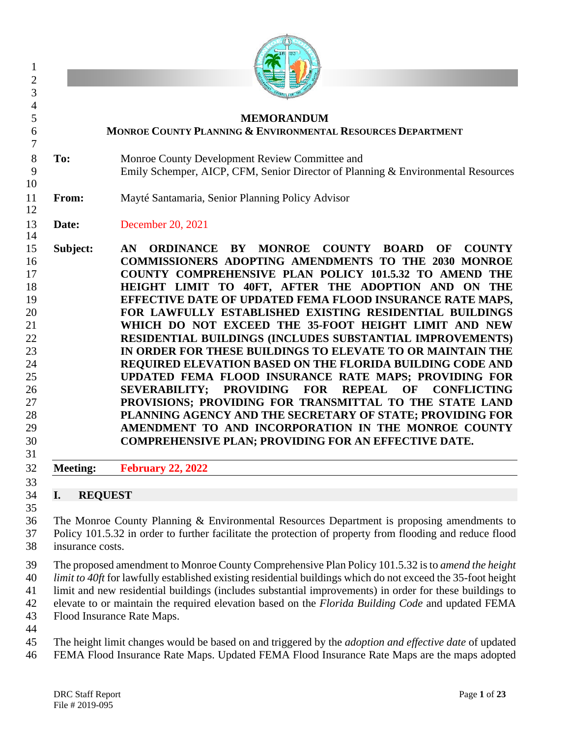|                        | <b>MEMORANDUM</b><br><b>MONROE COUNTY PLANNING &amp; ENVIRONMENTAL RESOURCES DEPARTMENT</b>                                                                                                                                                                                                                                                                                                                                                                                                                                                                                                                                                                                                                                                                                                                                                                                                                                                                                                                                                                    |
|------------------------|----------------------------------------------------------------------------------------------------------------------------------------------------------------------------------------------------------------------------------------------------------------------------------------------------------------------------------------------------------------------------------------------------------------------------------------------------------------------------------------------------------------------------------------------------------------------------------------------------------------------------------------------------------------------------------------------------------------------------------------------------------------------------------------------------------------------------------------------------------------------------------------------------------------------------------------------------------------------------------------------------------------------------------------------------------------|
| To:                    | Monroe County Development Review Committee and<br>Emily Schemper, AICP, CFM, Senior Director of Planning & Environmental Resources                                                                                                                                                                                                                                                                                                                                                                                                                                                                                                                                                                                                                                                                                                                                                                                                                                                                                                                             |
| From:                  | Mayté Santamaria, Senior Planning Policy Advisor                                                                                                                                                                                                                                                                                                                                                                                                                                                                                                                                                                                                                                                                                                                                                                                                                                                                                                                                                                                                               |
| Date:                  | December 20, 2021                                                                                                                                                                                                                                                                                                                                                                                                                                                                                                                                                                                                                                                                                                                                                                                                                                                                                                                                                                                                                                              |
| Subject:               | <b>ORDINANCE BY MONROE</b><br><b>COUNTY</b><br><b>BOARD</b><br><b>COUNTY</b><br>AN<br>OF<br><b>COMMISSIONERS ADOPTING AMENDMENTS TO THE 2030 MONROE</b><br>COUNTY COMPREHENSIVE PLAN POLICY 101.5.32 TO AMEND THE<br>HEIGHT LIMIT TO 40FT, AFTER THE ADOPTION AND ON THE<br>EFFECTIVE DATE OF UPDATED FEMA FLOOD INSURANCE RATE MAPS,<br>FOR LAWFULLY ESTABLISHED EXISTING RESIDENTIAL BUILDINGS<br>WHICH DO NOT EXCEED THE 35-FOOT HEIGHT LIMIT AND NEW<br>RESIDENTIAL BUILDINGS (INCLUDES SUBSTANTIAL IMPROVEMENTS)<br>IN ORDER FOR THESE BUILDINGS TO ELEVATE TO OR MAINTAIN THE<br>REQUIRED ELEVATION BASED ON THE FLORIDA BUILDING CODE AND<br>UPDATED FEMA FLOOD INSURANCE RATE MAPS; PROVIDING FOR<br><b>SEVERABILITY;</b><br><b>PROVIDING</b><br><b>FOR</b><br><b>REPEAL</b><br>OF<br><b>CONFLICTING</b><br>PROVISIONS; PROVIDING FOR TRANSMITTAL TO THE STATE LAND<br>PLANNING AGENCY AND THE SECRETARY OF STATE; PROVIDING FOR<br>AMENDMENT TO AND INCORPORATION IN THE MONROE COUNTY<br><b>COMPREHENSIVE PLAN; PROVIDING FOR AN EFFECTIVE DATE.</b> |
| <b>Meeting:</b>        | <b>February 22, 2022</b>                                                                                                                                                                                                                                                                                                                                                                                                                                                                                                                                                                                                                                                                                                                                                                                                                                                                                                                                                                                                                                       |
| I.<br>insurance costs. | <b>REQUEST</b><br>The Monroe County Planning & Environmental Resources Department is proposing amendments to<br>Policy 101.5.32 in order to further facilitate the protection of property from flooding and reduce flood                                                                                                                                                                                                                                                                                                                                                                                                                                                                                                                                                                                                                                                                                                                                                                                                                                       |
|                        | The proposed amendment to Monroe County Comprehensive Plan Policy 101.5.32 is to amend the height<br>limit to 40ft for lawfully established existing residential buildings which do not exceed the 35-foot height<br>limit and new residential buildings (includes substantial improvements) in order for these buildings to<br>elevate to or maintain the required elevation based on the Florida Building Code and updated FEMA<br>Flood Insurance Rate Maps.                                                                                                                                                                                                                                                                                                                                                                                                                                                                                                                                                                                                |
|                        | The height limit changes would be based on and triggered by the <i>adoption and effective date</i> of updated<br>FEMA Flood Insurance Rate Maps. Updated FEMA Flood Insurance Rate Maps are the maps adopted                                                                                                                                                                                                                                                                                                                                                                                                                                                                                                                                                                                                                                                                                                                                                                                                                                                   |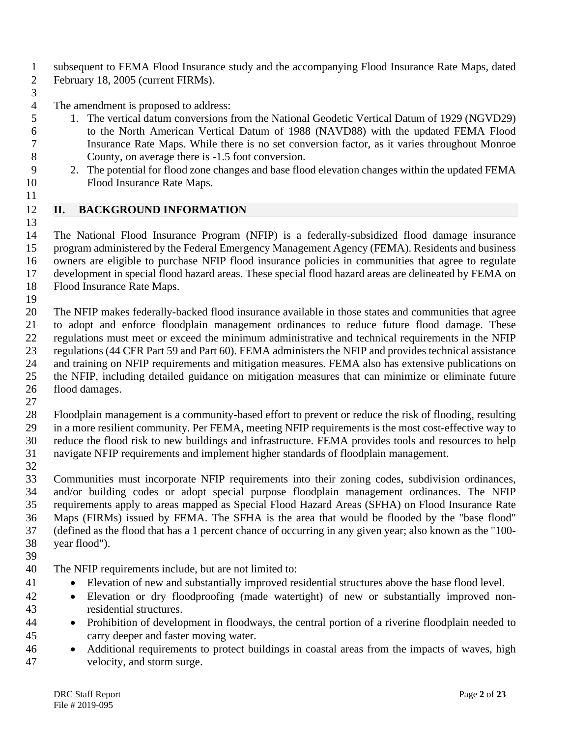subsequent to FEMA Flood Insurance study and the accompanying Flood Insurance Rate Maps, dated

- February 18, 2005 (current FIRMs).
- 

The amendment is proposed to address:

- 1. The vertical datum conversions from the National Geodetic Vertical Datum of 1929 (NGVD29)
- to the North American Vertical Datum of 1988 (NAVD88) with the updated FEMA Flood Insurance Rate Maps. While there is no set conversion factor, as it varies throughout Monroe County, on average there is -1.5 foot conversion.
- 2. The potential for flood zone changes and base flood elevation changes within the updated FEMA Flood Insurance Rate Maps.
- **II. BACKGROUND INFORMATION**

 The National Flood Insurance Program (NFIP) is a federally-subsidized flood damage insurance program administered by the Federal Emergency Management Agency (FEMA). Residents and business owners are eligible to purchase NFIP flood insurance policies in communities that agree to regulate development in special flood hazard areas. These special flood hazard areas are delineated by FEMA on Flood Insurance Rate Maps.

 The NFIP makes federally-backed flood insurance available in those states and communities that agree to adopt and enforce floodplain management ordinances to reduce future flood damage. These regulations must meet or exceed the minimum administrative and technical requirements in the NFIP regulations (44 CFR Part 59 and Part 60). FEMA administers the NFIP and provides technical assistance and training on NFIP requirements and mitigation measures. FEMA also has extensive publications on the NFIP, including detailed guidance on mitigation measures that can minimize or eliminate future flood damages.

 Floodplain management is a community-based effort to prevent or reduce the risk of flooding, resulting in a more resilient community. Per FEMA, meeting NFIP requirements is the most cost-effective way to reduce the flood risk to new buildings and infrastructure. FEMA provides tools and resources to help navigate NFIP requirements and implement higher standards of floodplain management.

 Communities must incorporate NFIP requirements into their zoning codes, subdivision ordinances, and/or building codes or adopt special purpose floodplain management ordinances. The NFIP requirements apply to areas mapped as Special Flood Hazard Areas (SFHA) on Flood Insurance Rate Maps (FIRMs) issued by FEMA. The SFHA is the area that would be flooded by the "base flood" (defined as the flood that has a 1 percent chance of occurring in any given year; also known as the "100- year flood").

- 
- The NFIP requirements include, but are not limited to:
- Elevation of new and substantially improved residential structures above the base flood level.
- Elevation or dry floodproofing (made watertight) of new or substantially improved non-residential structures.
- Prohibition of development in floodways, the central portion of a riverine floodplain needed to carry deeper and faster moving water.
- Additional requirements to protect buildings in coastal areas from the impacts of waves, high velocity, and storm surge.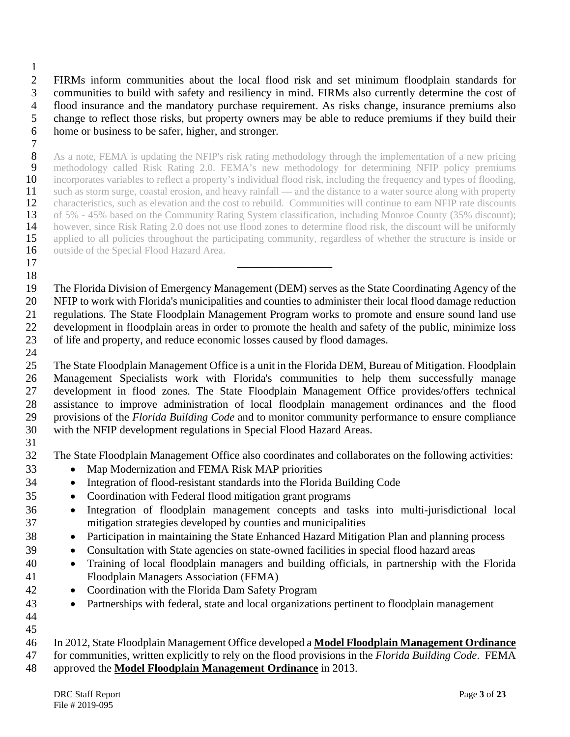FIRMs inform communities about the local flood risk and set minimum floodplain standards for communities to build with safety and resiliency in mind. FIRMs also currently determine the cost of flood insurance and the mandatory purchase requirement. As risks change, insurance premiums also change to reflect those risks, but property owners may be able to reduce premiums if they build their home or business to be safer, higher, and stronger.

 $\frac{7}{8}$  As a note, FEMA is updating the NFIP's risk rating methodology through the implementation of a new pricing 9 methodology called Risk Rating 2.0. FEMA's new methodology for determining NFIP policy premiums incorporates variables to reflect a property's individual flood risk, including the frequency and types of flooding, 10 incorporates variables to reflect a property's individual flood risk, including the frequency and types of flooding,<br>11 such as storm surge, coastal erosion, and heavy rainfall — and the distance to a water source along 11 such as storm surge, coastal erosion, and heavy rainfall — and the distance to a water source along with property<br>12 characteristics, such as elevation and the cost to rebuild. Communities will continue to earn NFIP rat 12 characteristics, such as elevation and the cost to rebuild. Communities will continue to earn NFIP rate discounts<br>13 of 5% - 45% based on the Community Rating System classification, including Monroe County (35% discount 13 of 5% - 45% based on the Community Rating System classification, including Monroe County (35% discount);<br>14 however, since Risk Rating 2.0 does not use flood zones to determine flood risk, the discount will be uniformly 14 however, since Risk Rating 2.0 does not use flood zones to determine flood risk, the discount will be uniformly applied to all policies throughout the participating community, regardless of whether the structure is insi applied to all policies throughout the participating community, regardless of whether the structure is inside or 16 outside of the Special Flood Hazard Area.

 The Florida Division of Emergency Management (DEM) serves as the State Coordinating Agency of the NFIP to work with Florida's municipalities and counties to administer their local flood damage reduction regulations. The State Floodplain Management Program works to promote and ensure sound land use development in floodplain areas in order to promote the health and safety of the public, minimize loss of life and property, and reduce economic losses caused by flood damages. 

 The State Floodplain Management Office is a unit in the Florida DEM, Bureau of Mitigation. Floodplain Management Specialists work with Florida's communities to help them successfully manage development in flood zones. The State Floodplain Management Office provides/offers technical assistance to improve administration of local floodplain management ordinances and the flood provisions of the *Florida Building Code* and to monitor community performance to ensure compliance with the NFIP development regulations in Special Flood Hazard Areas.

- The State Floodplain Management Office also coordinates and collaborates on the following activities:
- Map Modernization and FEMA Risk MAP priorities

\_\_\_\_\_\_\_\_\_\_\_\_\_\_\_\_\_

- Integration of flood-resistant standards into the Florida Building Code
- Coordination with Federal flood mitigation grant programs
- Integration of floodplain management concepts and tasks into multi-jurisdictional local mitigation strategies developed by counties and municipalities
- Participation in maintaining the State Enhanced Hazard Mitigation Plan and planning process
- Consultation with State agencies on state-owned facilities in special flood hazard areas
- Training of local floodplain managers and building officials, in partnership with the Florida Floodplain Managers Association (FFMA)
- Coordination with the Florida Dam Safety Program
- Partnerships with federal, state and local organizations pertinent to floodplain management
- 

for communities, written explicitly to rely on the flood provisions in the *Florida Building Code*. FEMA

approved the **Model Floodplain Management Ordinance** in 2013.

In 2012, State Floodplain Management Office developed a **Model Floodplain Management Ordinance**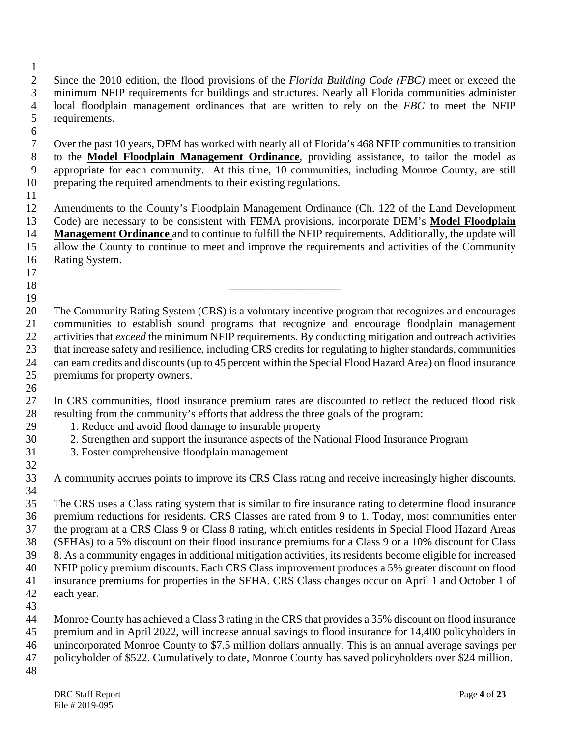- Since the 2010 edition, the flood provisions of the *Florida Building Code (FBC)* meet or exceed the minimum NFIP requirements for buildings and structures. Nearly all Florida communities administer local floodplain management ordinances that are written to rely on the *FBC* to meet the NFIP requirements.
- $\frac{6}{7}$ Over the past 10 years, DEM has worked with nearly all of Florida's 468 NFIP communities to transition to the **Model Floodplain Management Ordinance**, providing assistance, to tailor the model as appropriate for each community. At this time, 10 communities, including Monroe County, are still preparing the required amendments to their existing regulations.
- 

 Amendments to the County's Floodplain Management Ordinance (Ch. 122 of the Land Development Code) are necessary to be consistent with FEMA provisions, incorporate DEM's **Model Floodplain Management Ordinance** and to continue to fulfill the NFIP requirements. Additionally, the update will allow the County to continue to meet and improve the requirements and activities of the Community Rating System.

- 
- 
- 

 The Community Rating System (CRS) is a voluntary incentive program that recognizes and encourages communities to establish sound programs that recognize and encourage floodplain management activities that *exceed* the minimum NFIP requirements. By conducting mitigation and outreach activities that increase safety and resilience, including CRS credits for regulating to higher standards, communities can earn credits and discounts (up to 45 percent within the Special Flood Hazard Area) on flood insurance premiums for property owners.

 In CRS communities, flood insurance premium rates are discounted to reflect the reduced flood risk resulting from the community's efforts that address the three goals of the program:

- 1. Reduce and avoid flood damage to insurable property
- 2. Strengthen and support the insurance aspects of the National Flood Insurance Program
- 3. Foster comprehensive floodplain management
- A community accrues points to improve its CRS Class rating and receive increasingly higher discounts.

 The CRS uses a Class rating system that is similar to fire insurance rating to determine flood insurance premium reductions for residents. CRS Classes are rated from 9 to 1. Today, most communities enter the program at a CRS Class 9 or Class 8 rating, which entitles residents in Special Flood Hazard Areas (SFHAs) to a 5% discount on their flood insurance premiums for a Class 9 or a 10% discount for Class 8. As a community engages in additional mitigation activities, its residents become eligible for increased NFIP policy premium discounts. Each CRS Class improvement produces a 5% greater discount on flood insurance premiums for properties in the SFHA. CRS Class changes occur on April 1 and October 1 of each year.

 Monroe County has achieved a Class 3 rating in the CRS that provides a 35% discount on flood insurance premium and in April 2022, will increase annual savings to flood insurance for 14,400 policyholders in unincorporated Monroe County to \$7.5 million dollars annually. This is an annual average savings per

- policyholder of \$522. Cumulatively to date, Monroe County has saved policyholders over \$24 million.
-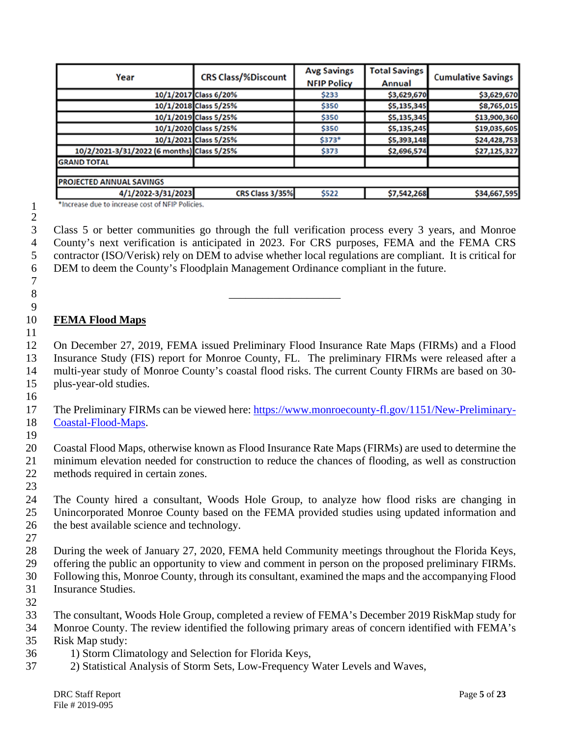| Year                                       | <b>CRS Class/%Discount</b> | <b>Avg Savings</b><br><b>NFIP Policy</b> | <b>Total Savings</b><br>Annual | <b>Cumulative Savings</b> |  |
|--------------------------------------------|----------------------------|------------------------------------------|--------------------------------|---------------------------|--|
|                                            | 10/1/2017 Class 6/20%      | \$233                                    | \$3,629,670                    | \$3,629,670               |  |
|                                            | 10/1/2018 Class 5/25%      | \$350                                    | \$5,135,345                    | \$8,765,015               |  |
|                                            | 10/1/2019 Class 5/25%      | \$350                                    | \$5,135,345                    | \$13,900,360              |  |
|                                            | 10/1/2020 Class 5/25%      | \$350                                    | \$5,135,245                    | \$19,035,605              |  |
|                                            | 10/1/2021 Class 5/25%      | \$373*                                   | \$5,393,148                    | \$24,428,753              |  |
| 10/2/2021-3/31/2022 (6 months) Class 5/25% |                            | \$373                                    | \$2,696,574                    | \$27,125,327              |  |
| <b>GRAND TOTAL</b>                         |                            |                                          |                                |                           |  |
|                                            |                            |                                          |                                |                           |  |
| PROJECTED ANNUAL SAVINGS                   |                            |                                          |                                |                           |  |
| 4/1/2022-3/31/2023                         | CRS Class 3/35%            | \$522                                    | \$7,542,268                    | \$34,667,595              |  |

\*Increase due to increase cost of NFIP Policies.

\_\_\_\_\_\_\_\_\_\_\_\_\_\_\_\_\_\_\_\_

 Class 5 or better communities go through the full verification process every 3 years, and Monroe County's next verification is anticipated in 2023. For CRS purposes, FEMA and the FEMA CRS contractor (ISO/Verisk) rely on DEM to advise whether local regulations are compliant. It is critical for DEM to deem the County's Floodplain Management Ordinance compliant in the future.

### **FEMA Flood Maps**

 

 On December 27, 2019, FEMA issued Preliminary Flood Insurance Rate Maps (FIRMs) and a Flood Insurance Study (FIS) report for Monroe County, FL. The preliminary FIRMs were released after a multi-year study of Monroe County's coastal flood risks. The current County FIRMs are based on 30- plus-year-old studies.

 The Preliminary FIRMs can be viewed here: [https://www.monroecounty-fl.gov/1151/New-Preliminary-](https://www.monroecounty-fl.gov/1151/New-Preliminary-Coastal-Flood-Maps)[Coastal-Flood-Maps.](https://www.monroecounty-fl.gov/1151/New-Preliminary-Coastal-Flood-Maps)

 Coastal Flood Maps, otherwise known as Flood Insurance Rate Maps (FIRMs) are used to determine the minimum elevation needed for construction to reduce the chances of flooding, as well as construction methods required in certain zones.

 The County hired a consultant, Woods Hole Group, to analyze how flood risks are changing in Unincorporated Monroe County based on the FEMA provided studies using updated information and the best available science and technology.

 During the week of January 27, 2020, FEMA held Community meetings throughout the Florida Keys, offering the public an opportunity to view and comment in person on the proposed preliminary FIRMs. Following this, Monroe County, through its consultant, examined the maps and the accompanying Flood Insurance Studies.

The consultant, Woods Hole Group, completed a review of FEMA's December 2019 RiskMap study for

 Monroe County. The review identified the following primary areas of concern identified with FEMA's Risk Map study:

- 1) Storm Climatology and Selection for Florida Keys,
- 2) Statistical Analysis of Storm Sets, Low-Frequency Water Levels and Waves,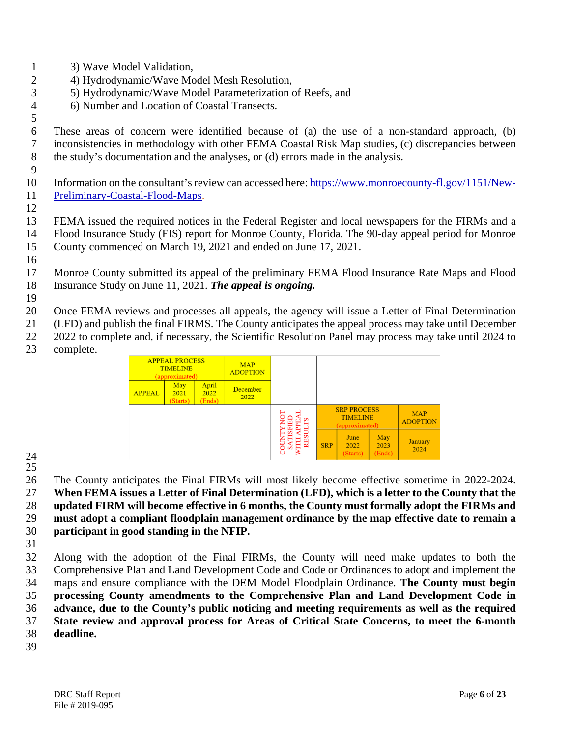- 3) Wave Model Validation,
- 4) Hydrodynamic/Wave Model Mesh Resolution,
- 5) Hydrodynamic/Wave Model Parameterization of Reefs, and
- 6) Number and Location of Coastal Transects.

 These areas of concern were identified because of (a) the use of a non-standard approach, (b) inconsistencies in methodology with other FEMA Coastal Risk Map studies, (c) discrepancies between the study's documentation and the analyses, or (d) errors made in the analysis.

- Information on the consultant's review can accessed here: [https://www.monroecounty-fl.gov/1151/New-](https://www.monroecounty-fl.gov/1151/New-Preliminary-Coastal-Flood-Maps)[Preliminary-Coastal-Flood-Maps.](https://www.monroecounty-fl.gov/1151/New-Preliminary-Coastal-Flood-Maps)
- 

 FEMA issued the required notices in the Federal Register and local newspapers for the FIRMs and a Flood Insurance Study (FIS) report for Monroe County, Florida. The 90-day appeal period for Monroe

- County commenced on March 19, 2021 and ended on June 17, 2021.
- 

 Monroe County submitted its appeal of the preliminary FEMA Flood Insurance Rate Maps and Flood Insurance Study on June 11, 2021. *The appeal is ongoing.*

Once FEMA reviews and processes all appeals, the agency will issue a Letter of Final Determination

(LFD) and publish the final FIRMS. The County anticipates the appeal process may take until December

- 2022 to complete and, if necessary, the Scientific Resolution Panel may process may take until 2024 to
- complete.

| <b>APPEAL PROCESS</b><br><b>TIMELINE</b><br>(approximated) |                         | <b>MAP</b><br><b>ADOPTION</b> |                         |   |                                                                       |                          |                       |                        |
|------------------------------------------------------------|-------------------------|-------------------------------|-------------------------|---|-----------------------------------------------------------------------|--------------------------|-----------------------|------------------------|
| <b>APPEAL</b>                                              | May<br>2021<br>(Starts) | April<br>2022<br>(Ends)       | <b>December</b><br>2022 |   |                                                                       |                          |                       |                        |
|                                                            |                         |                               |                         |   | <b>SRP PROCESS</b><br><b>MAP</b><br><b>TIMELINE</b><br>(approximated) |                          |                       | <b>ADOPTION</b>        |
|                                                            |                         |                               |                         | õ | <b>SRP</b>                                                            | June<br>2022<br>(Starts) | May<br>2023<br>(Ends) | <b>January</b><br>2024 |

 

 The County anticipates the Final FIRMs will most likely become effective sometime in 2022-2024. **When FEMA issues a Letter of Final Determination (LFD), which is a letter to the County that the updated FIRM will become effective in 6 months, the County must formally adopt the FIRMs and** 

 **must adopt a compliant floodplain management ordinance by the map effective date to remain a participant in good standing in the NFIP.**

 Along with the adoption of the Final FIRMs, the County will need make updates to both the Comprehensive Plan and Land Development Code and Code or Ordinances to adopt and implement the maps and ensure compliance with the DEM Model Floodplain Ordinance. **The County must begin processing County amendments to the Comprehensive Plan and Land Development Code in advance, due to the County's public noticing and meeting requirements as well as the required State review and approval process for Areas of Critical State Concerns, to meet the 6-month deadline.**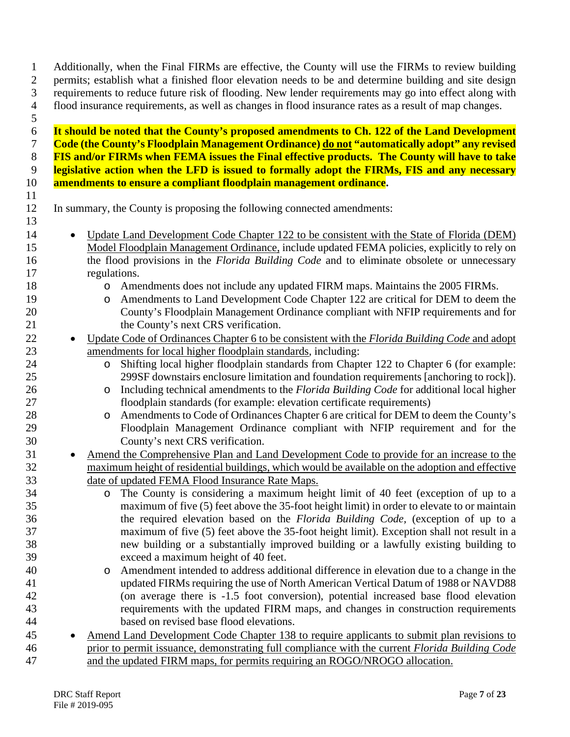permits; establish what a finished floor elevation needs to be and determine building and site design requirements to reduce future risk of flooding. New lender requirements may go into effect along with flood insurance requirements, as well as changes in flood insurance rates as a result of map changes. **It should be noted that the County's proposed amendments to Ch. 122 of the Land Development Code (the County's Floodplain Management Ordinance) do not "automatically adopt" any revised FIS and/or FIRMs when FEMA issues the Final effective products. The County will have to take legislative action when the LFD is issued to formally adopt the FIRMs, FIS and any necessary amendments to ensure a compliant floodplain management ordinance.** In summary, the County is proposing the following connected amendments: 14 • Update Land Development Code Chapter 122 to be consistent with the State of Florida (DEM) Model Floodplain Management Ordinance, include updated FEMA policies, explicitly to rely on the flood provisions in the *Florida Building Code* and to eliminate obsolete or unnecessary regulations. 18 o Amendments does not include any updated FIRM maps. Maintains the 2005 FIRMs.<br>19 o Amendments to Land Development Code Chapter 122 are critical for DEM to deem 19 o Amendments to Land Development Code Chapter 122 are critical for DEM to deem the<br>20 county's Floodplain Management Ordinance compliant with NFIP requirements and for County's Floodplain Management Ordinance compliant with NFIP requirements and for 21 the County's next CRS verification. • Update Code of Ordinances Chapter 6 to be consistent with the *Florida Building Code* and adopt amendments for local higher floodplain standards, including: 24 o Shifting local higher floodplain standards from Chapter 122 to Chapter 6 (for example:<br>25 299SF downstairs enclosure limitation and foundation requirements [anchoring to rock]). 299SF downstairs enclosure limitation and foundation requirements [anchoring to rock]). 26 o Including technical amendments to the *Florida Building Code* for additional local higher<br>27 code for example: elevation certificate requirements) floodplain standards (for example: elevation certificate requirements) 28 o Amendments to Code of Ordinances Chapter 6 are critical for DEM to deem the County's<br>29 Floodplain Management Ordinance compliant with NFIP requirement and for the Floodplain Management Ordinance compliant with NFIP requirement and for the County's next CRS verification. 31 • Amend the Comprehensive Plan and Land Development Code to provide for an increase to the maximum height of residential buildings, which would be available on the adoption and effective date of updated FEMA Flood Insurance Rate Maps. 34 o The County is considering a maximum height limit of 40 feet (exception of up to a maximum of five (5) feet above the 35-foot height limit) in order to elevate to or maintain maximum of five (5) feet above the 35-foot height limit) in order to elevate to or maintain the required elevation based on the *Florida Building Code,* (exception of up to a maximum of five (5) feet above the 35-foot height limit). Exception shall not result in a new building or a substantially improved building or a lawfully existing building to exceed a maximum height of 40 feet. 40 o Amendment intended to address additional difference in elevation due to a change in the updated FIRMs requiring the use of North American Vertical Datum of 1988 or NAVD88 updated FIRMs requiring the use of North American Vertical Datum of 1988 or NAVD88 (on average there is -1.5 foot conversion), potential increased base flood elevation requirements with the updated FIRM maps, and changes in construction requirements based on revised base flood elevations. • Amend Land Development Code Chapter 138 to require applicants to submit plan revisions to prior to permit issuance, demonstrating full compliance with the current *Florida Building Code*  and the updated FIRM maps, for permits requiring an ROGO/NROGO allocation.

Additionally, when the Final FIRMs are effective, the County will use the FIRMs to review building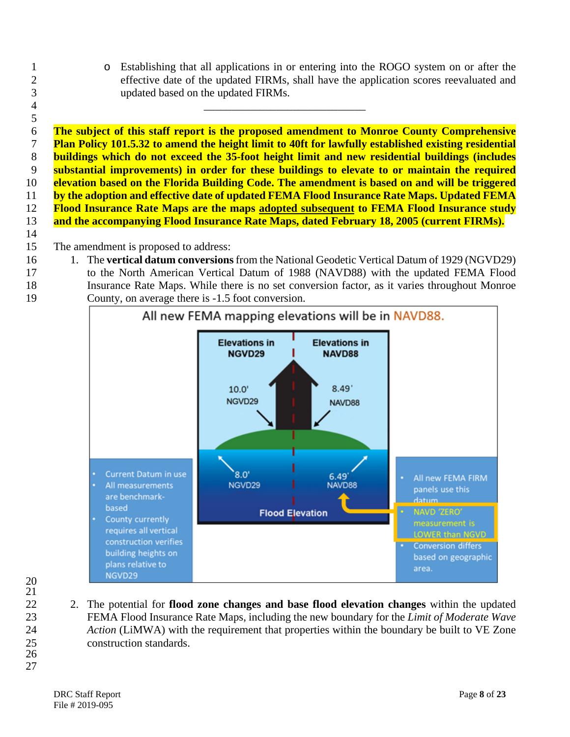1 o Establishing that all applications in or entering into the ROGO system on or after the effective date of the updated FIRMs, shall have the application scores reevaluated and effective date of the updated FIRMs, shall have the application scores reevaluated and updated based on the updated FIRMs.

 **The subject of this staff report is the proposed amendment to Monroe County Comprehensive Plan Policy 101.5.32 to amend the height limit to 40ft for lawfully established existing residential buildings which do not exceed the 35-foot height limit and new residential buildings (includes substantial improvements) in order for these buildings to elevate to or maintain the required elevation based on the Florida Building Code. The amendment is based on and will be triggered by the adoption and effective date of updated FEMA Flood Insurance Rate Maps. Updated FEMA Flood Insurance Rate Maps are the maps adopted subsequent to FEMA Flood Insurance study and the accompanying Flood Insurance Rate Maps, dated February 18, 2005 (current FIRMs).**

\_\_\_\_\_\_\_\_\_\_\_\_\_\_\_\_\_\_\_\_\_\_\_\_\_\_\_\_\_

- The amendment is proposed to address:
- 1. The **vertical datum conversions** from the National Geodetic Vertical Datum of 1929 (NGVD29)
- to the North American Vertical Datum of 1988 (NAVD88) with the updated FEMA Flood
- Insurance Rate Maps. While there is no set conversion factor, as it varies throughout Monroe County, on average there is -1.5 foot conversion.



 

 2. The potential for **flood zone changes and base flood elevation changes** within the updated FEMA Flood Insurance Rate Maps, including the new boundary for the *Limit of Moderate Wave Action* (LiMWA) with the requirement that properties within the boundary be built to VE Zone construction standards.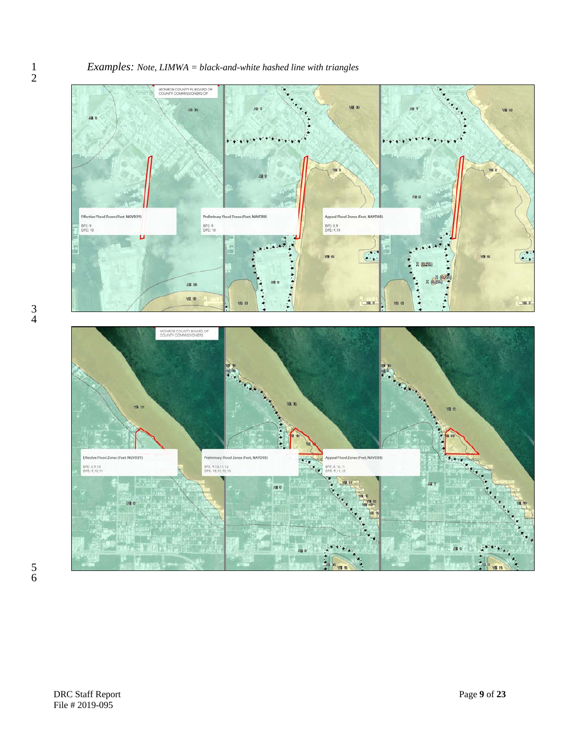#### *Examples: Note, LIMWA = black-and-white hashed line with triangles*



 $\frac{1}{2}$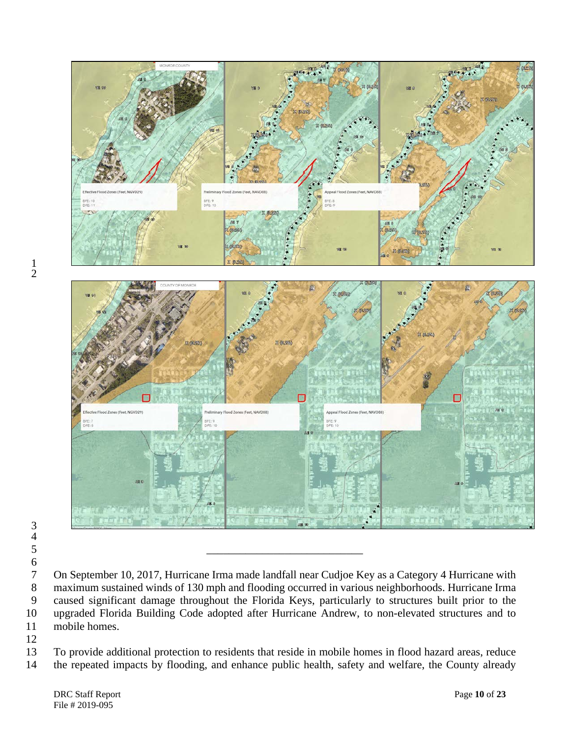

  $\frac{4}{5}$ 

7 On September 10, 2017, Hurricane Irma made landfall near Cudjoe Key as a Category 4 Hurricane with<br>8 maximum sustained winds of 130 mph and flooding occurred in various neighborhoods. Hurricane Irma 8 maximum sustained winds of 130 mph and flooding occurred in various neighborhoods. Hurricane Irma<br>9 caused significant damage throughout the Florida Keys, particularly to structures built prior to the caused significant damage throughout the Florida Keys, particularly to structures built prior to the upgraded Florida Building Code adopted after Hurricane Andrew, to non-elevated structures and to mobile homes.

 To provide additional protection to residents that reside in mobile homes in flood hazard areas, reduce the repeated impacts by flooding, and enhance public health, safety and welfare, the County already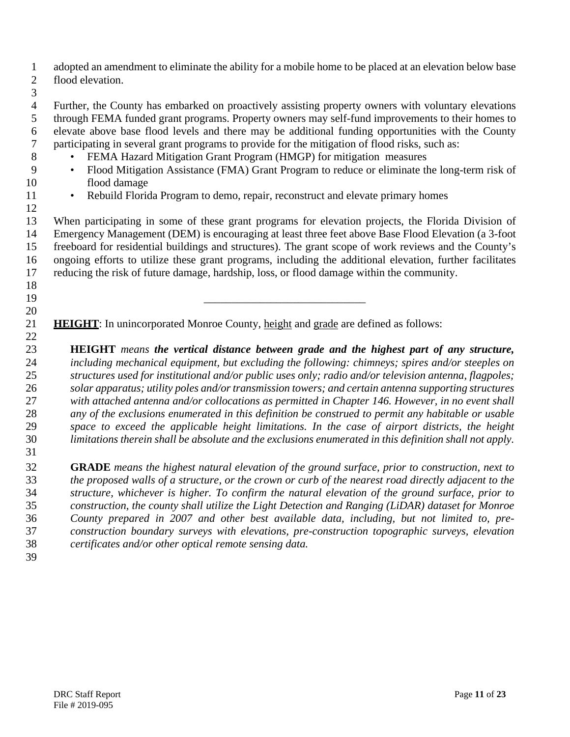adopted an amendment to eliminate the ability for a mobile home to be placed at an elevation below base flood elevation.

 Further, the County has embarked on proactively assisting property owners with voluntary elevations through FEMA funded grant programs. Property owners may self-fund improvements to their homes to 6 elevate above base flood levels and there may be additional funding opportunities with the County<br>7 participating in several grant programs to provide for the mitigation of flood risks, such as: participating in several grant programs to provide for the mitigation of flood risks, such as:

- FEMA Hazard Mitigation Grant Program (HMGP) for mitigation measures
- Flood Mitigation Assistance (FMA) Grant Program to reduce or eliminate the long-term risk of flood damage
- 
- 11 Rebuild Florida Program to demo, repair, reconstruct and elevate primary homes

 When participating in some of these grant programs for elevation projects, the Florida Division of Emergency Management (DEM) is encouraging at least three feet above Base Flood Elevation (a 3-foot freeboard for residential buildings and structures). The grant scope of work reviews and the County's ongoing efforts to utilize these grant programs, including the additional elevation, further facilitates reducing the risk of future damage, hardship, loss, or flood damage within the community.

**HEIGHT**: In unincorporated Monroe County, height and grade are defined as follows:

\_\_\_\_\_\_\_\_\_\_\_\_\_\_\_\_\_\_\_\_\_\_\_\_\_\_\_\_\_

 **HEIGHT** *means the vertical distance between grade and the highest part of any structure, including mechanical equipment, but excluding the following: chimneys; spires and/or steeples on structures used for institutional and/or public uses only; radio and/or television antenna, flagpoles; solar apparatus; utility poles and/or transmission towers; and certain antenna supporting structures with attached antenna and/or collocations as permitted in Chapter 146. However, in no event shall any of the exclusions enumerated in this definition be construed to permit any habitable or usable space to exceed the applicable height limitations. In the case of airport districts, the height limitations therein shall be absolute and the exclusions enumerated in this definition shall not apply.* 

 **GRADE** *means the highest natural elevation of the ground surface, prior to construction, next to the proposed walls of a structure, or the crown or curb of the nearest road directly adjacent to the structure, whichever is higher. To confirm the natural elevation of the ground surface, prior to construction, the county shall utilize the Light Detection and Ranging (LiDAR) dataset for Monroe County prepared in 2007 and other best available data, including, but not limited to, pre- construction boundary surveys with elevations, pre-construction topographic surveys, elevation certificates and/or other optical remote sensing data.*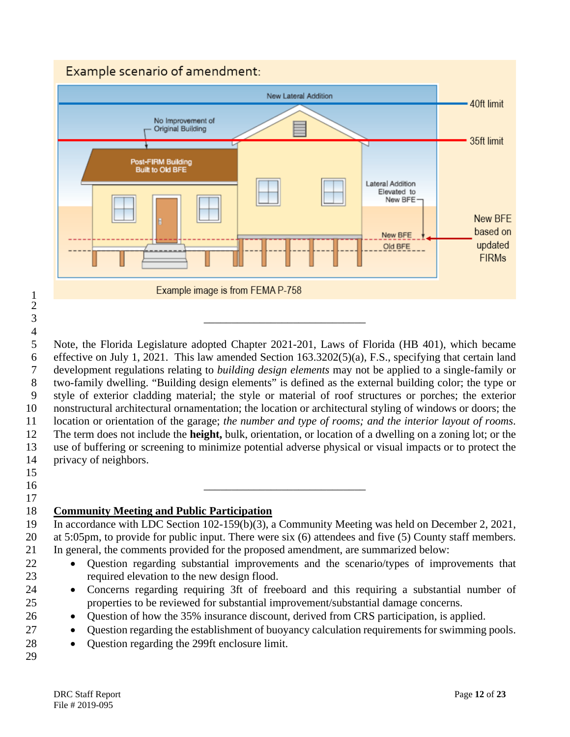# Example scenario of amendment:



 Note, the Florida Legislature adopted Chapter 2021-201, Laws of Florida (HB 401), which became effective on July 1, 2021. This law amended Section 163.3202(5)(a), F.S., specifying that certain land development regulations relating to *building design elements* may not be applied to a single-family or two-family dwelling. "Building design elements" is defined as the external building color; the type or style of exterior cladding material; the style or material of roof structures or porches; the exterior nonstructural architectural ornamentation; the location or architectural styling of windows or doors; the location or orientation of the garage; *the number and type of rooms; and the interior layout of rooms*. The term does not include the **height,** bulk, orientation, or location of a dwelling on a zoning lot; or the use of buffering or screening to minimize potential adverse physical or visual impacts or to protect the privacy of neighbors.

 

- $\qquad \qquad \qquad$
- 

# **Community Meeting and Public Participation**

\_\_\_\_\_\_\_\_\_\_\_\_\_\_\_\_\_\_\_\_\_\_\_\_\_\_\_\_\_

 In accordance with LDC Section 102-159(b)(3), a Community Meeting was held on December 2, 2021, at 5:05pm, to provide for public input. There were six (6) attendees and five (5) County staff members. In general, the comments provided for the proposed amendment, are summarized below:

- Question regarding substantial improvements and the scenario/types of improvements that required elevation to the new design flood.
- Concerns regarding requiring 3ft of freeboard and this requiring a substantial number of properties to be reviewed for substantial improvement/substantial damage concerns.
- Question of how the 35% insurance discount, derived from CRS participation, is applied.
- Question regarding the establishment of buoyancy calculation requirements for swimming pools.
- Question regarding the 299ft enclosure limit.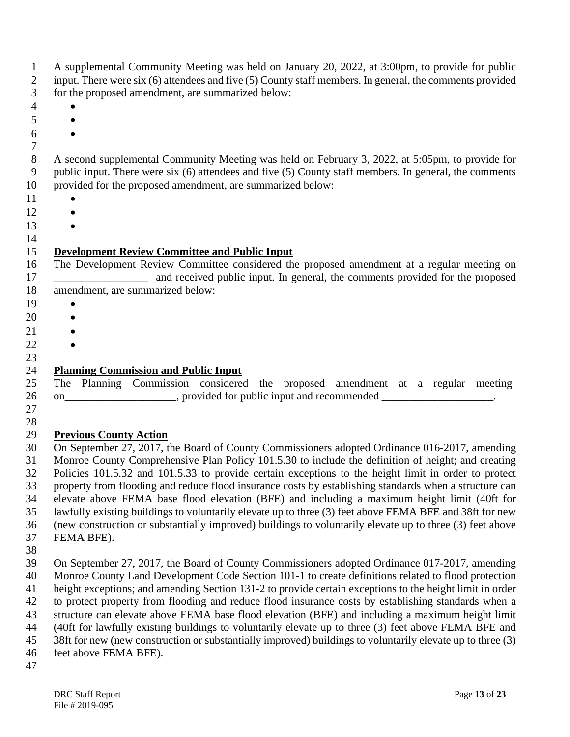| 1<br>2<br>3    | A supplemental Community Meeting was held on January 20, 2022, at 3:00pm, to provide for public<br>input. There were six (6) attendees and five (5) County staff members. In general, the comments provided<br>for the proposed amendment, are summarized below: |
|----------------|------------------------------------------------------------------------------------------------------------------------------------------------------------------------------------------------------------------------------------------------------------------|
| $\overline{4}$ |                                                                                                                                                                                                                                                                  |
| 5              |                                                                                                                                                                                                                                                                  |
| 6              |                                                                                                                                                                                                                                                                  |
| $\tau$         |                                                                                                                                                                                                                                                                  |
| $8\,$          | A second supplemental Community Meeting was held on February 3, 2022, at 5:05pm, to provide for                                                                                                                                                                  |
| 9              | public input. There were six (6) attendees and five (5) County staff members. In general, the comments                                                                                                                                                           |
| 10             | provided for the proposed amendment, are summarized below:                                                                                                                                                                                                       |
| 11             |                                                                                                                                                                                                                                                                  |
| 12             |                                                                                                                                                                                                                                                                  |
| 13             |                                                                                                                                                                                                                                                                  |
| 14             |                                                                                                                                                                                                                                                                  |
| 15<br>16<br>17 | <b>Development Review Committee and Public Input</b><br>The Development Review Committee considered the proposed amendment at a regular meeting on<br>and received public input. In general, the comments provided for the proposed                              |
| 18             | amendment, are summarized below:                                                                                                                                                                                                                                 |
| 19             |                                                                                                                                                                                                                                                                  |
| 20             |                                                                                                                                                                                                                                                                  |
|                |                                                                                                                                                                                                                                                                  |
|                |                                                                                                                                                                                                                                                                  |
|                |                                                                                                                                                                                                                                                                  |
| 23<br>24       | <b>Planning Commission and Public Input</b>                                                                                                                                                                                                                      |
| 25             | The Planning Commission considered the proposed amendment at a regular meeting                                                                                                                                                                                   |
|                | on________________________, provided for public input and recommended ____________________.                                                                                                                                                                      |
|                | <b>Previous County Action</b>                                                                                                                                                                                                                                    |
|                | On September 27, 2017, the Board of County Commissioners adopted Ordinance 016-2017, amending                                                                                                                                                                    |
|                | Monroe County Comprehensive Plan Policy 101.5.30 to include the definition of height; and creating<br>Policies 101.5.32 and 101.5.33 to provide certain exceptions to the height limit in order to protect                                                       |
|                | property from flooding and reduce flood insurance costs by establishing standards when a structure can<br>elevate above FEMA base flood elevation (BFE) and including a maximum height limit (40ft for                                                           |
| 34             | lawfully existing buildings to voluntarily elevate up to three (3) feet above FEMA BFE and 38ft for new                                                                                                                                                          |
|                | (new construction or substantially improved) buildings to voluntarily elevate up to three (3) feet above                                                                                                                                                         |
|                | FEMA BFE).                                                                                                                                                                                                                                                       |
|                |                                                                                                                                                                                                                                                                  |
|                | On September 27, 2017, the Board of County Commissioners adopted Ordinance 017-2017, amending                                                                                                                                                                    |
|                | Monroe County Land Development Code Section 101-1 to create definitions related to flood protection                                                                                                                                                              |
|                | height exceptions; and amending Section 131-2 to provide certain exceptions to the height limit in order                                                                                                                                                         |
|                | to protect property from flooding and reduce flood insurance costs by establishing standards when a                                                                                                                                                              |
|                | structure can elevate above FEMA base flood elevation (BFE) and including a maximum height limit                                                                                                                                                                 |
|                | (40ft for lawfully existing buildings to voluntarily elevate up to three (3) feet above FEMA BFE and                                                                                                                                                             |
|                | 38ft for new (new construction or substantially improved) buildings to voluntarily elevate up to three (3)                                                                                                                                                       |
|                | feet above FEMA BFE).                                                                                                                                                                                                                                            |
|                |                                                                                                                                                                                                                                                                  |
| 47             |                                                                                                                                                                                                                                                                  |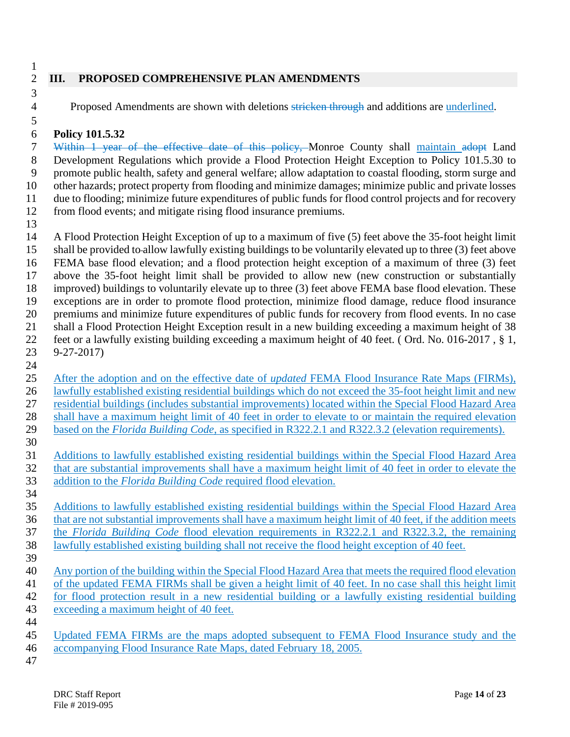$\frac{1}{2}$ 

### **III. PROPOSED COMPREHENSIVE PLAN AMENDMENTS**

4 Proposed Amendments are shown with deletions stricken through and additions are underlined.

#### **Policy 101.5.32**

 Within 1 year of the effective date of this policy, Monroe County shall maintain adopt Land Development Regulations which provide a Flood Protection Height Exception to Policy 101.5.30 to promote public health, safety and general welfare; allow adaptation to coastal flooding, storm surge and other hazards; protect property from flooding and minimize damages; minimize public and private losses due to flooding; minimize future expenditures of public funds for flood control projects and for recovery from flood events; and mitigate rising flood insurance premiums.

 A Flood Protection Height Exception of up to a maximum of five (5) feet above the 35-foot height limit shall be provided to allow lawfully existing buildings to be voluntarily elevated up to three (3) feet above FEMA base flood elevation; and a flood protection height exception of a maximum of three (3) feet above the 35-foot height limit shall be provided to allow new (new construction or substantially improved) buildings to voluntarily elevate up to three (3) feet above FEMA base flood elevation. These exceptions are in order to promote flood protection, minimize flood damage, reduce flood insurance premiums and minimize future expenditures of public funds for recovery from flood events. In no case shall a Flood Protection Height Exception result in a new building exceeding a maximum height of 38 feet or a lawfully existing building exceeding a maximum height of 40 feet. ( Ord. No. 016-2017 , § 1, 9-27-2017) 

- After the adoption and on the effective date of *updated* FEMA Flood Insurance Rate Maps (FIRMs), lawfully established existing residential buildings which do not exceed the 35-foot height limit and new residential buildings (includes substantial improvements) located within the Special Flood Hazard Area shall have a maximum height limit of 40 feet in order to elevate to or maintain the required elevation based on the *Florida Building Code*, as specified in R322.2.1 and R322.3.2 (elevation requirements).
- Additions to lawfully established existing residential buildings within the Special Flood Hazard Area that are substantial improvements shall have a maximum height limit of 40 feet in order to elevate the addition to the *Florida Building Code* required flood elevation.
- Additions to lawfully established existing residential buildings within the Special Flood Hazard Area that are not substantial improvements shall have a maximum height limit of 40 feet, if the addition meets the *Florida Building Code* flood elevation requirements in R322.2.1 and R322.3.2, the remaining lawfully established existing building shall not receive the flood height exception of 40 feet.
- Any portion of the building within the Special Flood Hazard Area that meets the required flood elevation of the updated FEMA FIRMs shall be given a height limit of 40 feet. In no case shall this height limit for flood protection result in a new residential building or a lawfully existing residential building exceeding a maximum height of 40 feet.
- 

- Updated FEMA FIRMs are the maps adopted subsequent to FEMA Flood Insurance study and the accompanying Flood Insurance Rate Maps, dated February 18, 2005.
-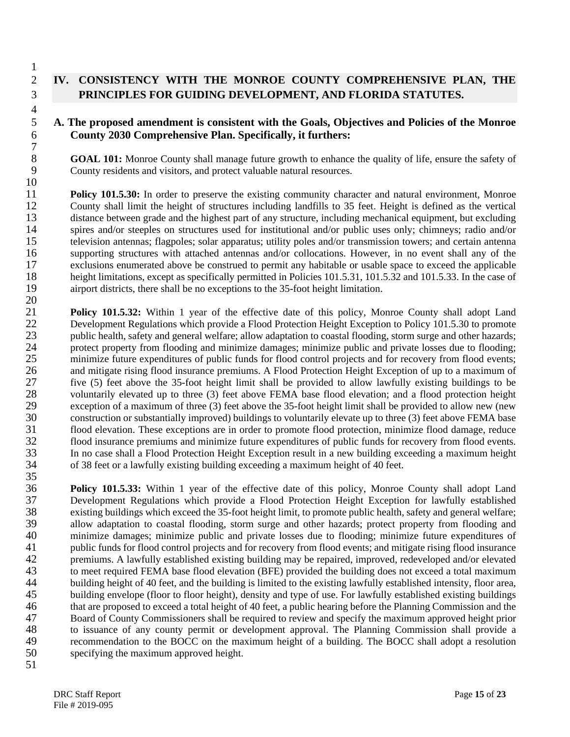# 2 **IV. CONSISTENCY WITH THE MONROE COUNTY COMPREHENSIVE PLAN, THE**  3 **PRINCIPLES FOR GUIDING DEVELOPMENT, AND FLORIDA STATUTES.**

#### 5 **A. The proposed amendment is consistent with the Goals, Objectives and Policies of the Monroe**  6 **County 2030 Comprehensive Plan. Specifically, it furthers:**

8 **GOAL 101:** Monroe County shall manage future growth to enhance the quality of life, ensure the safety of County residents and visitors, and protect valuable natural resources. County residents and visitors, and protect valuable natural resources.

 $\frac{10}{11}$ 11 **Policy 101.5.30:** In order to preserve the existing community character and natural environment, Monroe County shall limit the height of structures including landfills to 35 feet. Height is defined as the vertical 12 County shall limit the height of structures including landfills to 35 feet. Height is defined as the vertical 13 distance between grade and the highest part of any structure, including mechanical equipment, but excluding 14 spires and/or steeples on structures used for institutional and/or public uses only; chimneys; radio and/or 15 television antennas; flagpoles; solar apparatus; utility poles and/or transmission towers; and certain antenna 16 supporting structures with attached antennas and/or collocations. However, in no event shall any of the 17 exclusions enumerated above be construed to permit any habitable or usable space to exceed the applicable<br>18 height limitations, except as specifically permitted in Policies 101.5.31, 101.5.32 and 101.5.33. In the case 18 height limitations, except as specifically permitted in Policies 101.5.31, 101.5.32 and 101.5.33. In the case of airport districts, there shall be no exceptions to the 35-foot height limitation. airport districts, there shall be no exceptions to the 35-foot height limitation. 20

21 **Policy 101.5.32:** Within 1 year of the effective date of this policy, Monroe County shall adopt Land<br>22 Development Regulations which provide a Flood Protection Height Exception to Policy 101.5.30 to promote 22 Development Regulations which provide a Flood Protection Height Exception to Policy 101.5.30 to promote<br>23 uphic health, safety and general welfare: allow adaptation to coastal flooding, storm surge and other hazards: public health, safety and general welfare; allow adaptation to coastal flooding, storm surge and other hazards; 24 protect property from flooding and minimize damages; minimize public and private losses due to flooding;<br>25 minimize future expenditures of public funds for flood control projects and for recovery from flood events; 25 minimize future expenditures of public funds for flood control projects and for recovery from flood events;<br>26 and mitigate rising flood insurance premiums. A Flood Protection Height Exception of up to a maximum of 26 and mitigate rising flood insurance premiums. A Flood Protection Height Exception of up to a maximum of five (5) feet above the 35-foot height limit shall be provided to allow lawfully existing buildings to be 27 five (5) feet above the 35-foot height limit shall be provided to allow lawfully existing buildings to be voluntarily elevated up to three (3) feet above FEMA base flood elevation; and a flood protection height 28 voluntarily elevated up to three (3) feet above FEMA base flood elevation; and a flood protection height exception of a maximum of three (3) feet above the 35-foot height limit shall be provided to allow new (new 29 exception of a maximum of three (3) feet above the 35-foot height limit shall be provided to allow new (new<br>30 construction or substantially improved) buildings to voluntarily elevate up to three (3) feet above FEMA bas 30 construction or substantially improved) buildings to voluntarily elevate up to three (3) feet above FEMA base<br>31 flood elevation. These exceptions are in order to promote flood protection, minimize flood damage, reduce 31 flood elevation. These exceptions are in order to promote flood protection, minimize flood damage, reduce flood insurance premiums and minimize future expenditures of public funds for recovery from flood events. 32 flood insurance premiums and minimize future expenditures of public funds for recovery from flood events.<br>33 In no case shall a Flood Protection Height Exception result in a new building exceeding a maximum height 33 In no case shall a Flood Protection Height Exception result in a new building exceeding a maximum height of 38 feet or a lawfully existing building exceeding a maximum height of 40 feet. 34 of 38 feet or a lawfully existing building exceeding a maximum height of 40 feet. 35

36 **Policy 101.5.33:** Within 1 year of the effective date of this policy, Monroe County shall adopt Land 37 Development Regulations which provide a Flood Protection Height Exception for lawfully established existing buildings which exceed the 35-foot height limit, to promote public health, safety and general welfare; existing buildings which exceed the 35-foot height limit, to promote public health, safety and general welfare; 39 allow adaptation to coastal flooding, storm surge and other hazards; protect property from flooding and 40 minimize damages; minimize public and private losses due to flooding; minimize future expenditures of public funds for flood control projects and for recovery from flood events; and mitigate rising flood insurance 41 public funds for flood control projects and for recovery from flood events; and mitigate rising flood insurance<br>42 premiums. A lawfully established existing building may be repaired, improved, redeveloped and/or elevate 42 premiums. A lawfully established existing building may be repaired, improved, redeveloped and/or elevated 43 to meet required FEMA base flood elevation (BFE) provided the building does not exceed a total maximum 44 building height of 40 feet, and the building is limited to the existing lawfully established intensity, floor area,<br>45 building envelope (floor to floor height), density and type of use. For lawfully established existin building envelope (floor to floor height), density and type of use. For lawfully established existing buildings 46 that are proposed to exceed a total height of 40 feet, a public hearing before the Planning Commission and the 47 Board of County Commissioners shall be required to review and specify the maximum approved height prior<br>48 to issuance of any county permit or development approval. The Planning Commission shall provide a 48 to issuance of any county permit or development approval. The Planning Commission shall provide a<br>49 tecommendation to the BOCC on the maximum height of a building. The BOCC shall adopt a resolution 49 recommendation to the BOCC on the maximum height of a building. The BOCC shall adopt a resolution specifying the maximum approved height. specifying the maximum approved height.

51

1

4

 $\begin{array}{c} 7 \\ 8 \end{array}$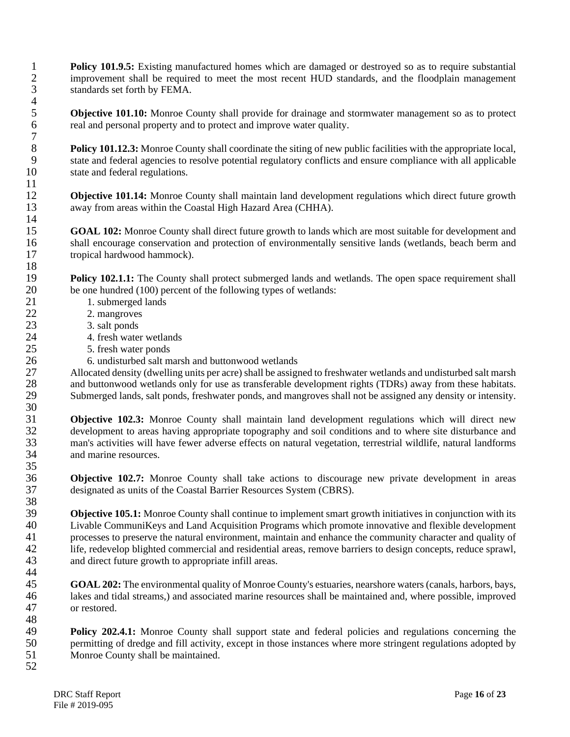**1 Policy 101.9.5:** Existing manufactured homes which are damaged or destroyed so as to require substantial improvement shall be required to meet the most recent HUD standards, and the floodplain management improvement shall be required to meet the most recent HUD standards, and the floodplain management 3 standards set forth by FEMA.

**5 Objective 101.10:** Monroe County shall provide for drainage and stormwater management so as to protect real and personal property and to protect and improve water quality. real and personal property and to protect and improve water quality.

**Policy 101.12.3:** Monroe County shall coordinate the siting of new public facilities with the appropriate local,<br> **9** state and federal agencies to resolve potential regulatory conflicts and ensure compliance with all app 9 state and federal agencies to resolve potential regulatory conflicts and ensure compliance with all applicable 10 state and federal regulations.

12 **Objective 101.14:** Monroe County shall maintain land development regulations which direct future growth away from areas within the Coastal High Hazard Area (CHHA). away from areas within the Coastal High Hazard Area (CHHA).

15 **GOAL 102:** Monroe County shall direct future growth to lands which are most suitable for development and 16 shall encourage conservation and protection of environmentally sensitive lands (wetlands, beach berm and 17 tropical hardwood hammock).

19 **Policy 102.1.1:** The County shall protect submerged lands and wetlands. The open space requirement shall be one hundred (100) percent of the following types of wetlands: 20 be one hundred (100) percent of the following types of wetlands:<br>21 1. submerged lands

- 21 1. submerged lands<br>22 2. mangroves
- 22 2. mangroves<br>23 3. salt ponds
	- 23 3. salt ponds
- 24 4. fresh water wetlands<br>25 5. fresh water ponds
	- 25 5. fresh water ponds
- 26 6. undisturbed salt marsh and buttonwood wetlands

27 Allocated density (dwelling units per acre) shall be assigned to freshwater wetlands and undisturbed salt marsh<br>28 and buttonwood wetlands only for use as transferable development rights (TDRs) away from these habitats. 28 and buttonwood wetlands only for use as transferable development rights (TDRs) away from these habitats.<br>29 Submerged lands, salt ponds, freshwater ponds, and mangroves shall not be assigned any density or intensity. 29 Submerged lands, salt ponds, freshwater ponds, and mangroves shall not be assigned any density or intensity. 30

 **Objective 102.3:** Monroe County shall maintain land development regulations which will direct new development to areas having appropriate topography and soil conditions and to where site disturbance and development to areas having appropriate topography and soil conditions and to where site disturbance and man's activities will have fewer adverse effects on natural vegetation, terrestrial wildlife, natural landforms and marine resources.

 $\frac{35}{36}$ **Objective 102.7:** Monroe County shall take actions to discourage new private development in areas 37 designated as units of the Coastal Barrier Resources System (CBRS).

38<br>39 **39 <b>Objective 105.1:** Monroe County shall continue to implement smart growth initiatives in conjunction with its 40 Livable CommuniKeys and Land Acquisition Programs which promote innovative and flexible development 40 Livable CommuniKeys and Land Acquisition Programs which promote innovative and flexible development<br>41 consesses to preserve the natural environment, maintain and enhance the community character and quality of 41 processes to preserve the natural environment, maintain and enhance the community character and quality of life, redevelop blighted commercial and residential areas, remove barriers to design concepts, reduce sprawl, 42 life, redevelop blighted commercial and residential areas, remove barriers to design concepts, reduce sprawl, and direct future growth to appropriate infill areas. and direct future growth to appropriate infill areas.

44<br>45 **GOAL 202:** The environmental quality of Monroe County's estuaries, nearshore waters (canals, harbors, bays, lakes and tidal streams,) and associated marine resources shall be maintained and, where possible, improved or restored.

48<br>49 49 **Policy 202.4.1:** Monroe County shall support state and federal policies and regulations concerning the permitting of dredge and fill activity, except in those instances where more stringent regulations adopted by 50 permitting of dredge and fill activity, except in those instances where more stringent regulations adopted by<br>51 Monroe County shall be maintained. Monroe County shall be maintained.

52

 $\frac{4}{5}$ 

 $\begin{array}{c} 7 \\ 8 \end{array}$ 

 $\frac{11}{12}$ 

 $\frac{14}{15}$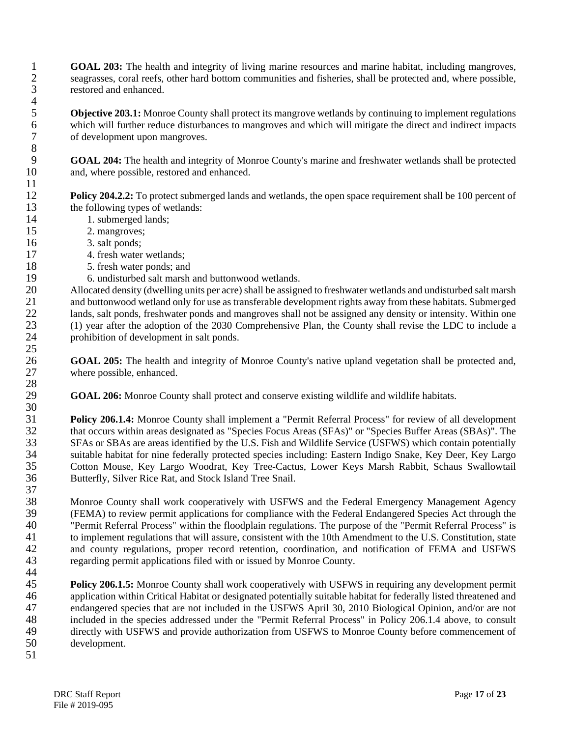1 **GOAL 203:** The health and integrity of living marine resources and marine habitat, including mangroves, seagrasses, coral reefs, other hard bottom communities and fisheries, shall be protected and, where possible. seagrasses, coral reefs, other hard bottom communities and fisheries, shall be protected and, where possible, 3 restored and enhanced.

**5 Objective 203.1:** Monroe County shall protect its mangrove wetlands by continuing to implement regulations which will further reduce disturbances to mangroves and which will mitigate the direct and indirect impacts 6 which will further reduce disturbances to mangroves and which will mitigate the direct and indirect impacts of development upon mangroves.

9 **GOAL 204:** The health and integrity of Monroe County's marine and freshwater wetlands shall be protected 10 and, where possible, restored and enhanced.

**Policy 204.2.2:** To protect submerged lands and wetlands, the open space requirement shall be 100 percent of the following types of wetlands: the following types of wetlands:

- 14 1. submerged lands;<br>15 2. mangroves:
	- 2. mangroves;
- 16 3. salt ponds;
- 17 4. fresh water wetlands;<br>18 5. fresh water ponds; and
	- 5. fresh water ponds; and
- 19 6. undisturbed salt marsh and buttonwood wetlands.<br>20 Allocated density (dwelling units per acre) shall be assign

20 Allocated density (dwelling units per acre) shall be assigned to freshwater wetlands and undisturbed salt marsh<br>21 and buttonwood wetland only for use as transferable development rights away from these habitats. Submerg 21 and buttonwood wetland only for use as transferable development rights away from these habitats. Submerged<br>22 lands, salt ponds, freshwater ponds and mangroves shall not be assigned any density or intensity. Within one 22 lands, salt ponds, freshwater ponds and mangroves shall not be assigned any density or intensity. Within one<br>23 (1) year after the adoption of the 2030 Comprehensive Plan, the County shall revise the LDC to include a 23 (1) year after the adoption of the 2030 Comprehensive Plan, the County shall revise the LDC to include a 24 prohibition of development in salt ponds.

26 **GOAL 205:** The health and integrity of Monroe County's native upland vegetation shall be protected and, 27 where possible, enhanced.

29 **GOAL 206:** Monroe County shall protect and conserve existing wildlife and wildlife habitats.

**206.1.4:** Monroe County shall implement a "Permit Referral Process" for review of all development that occurs within areas designated as "Species Focus Areas (SFAs)" or "Species Buffer Areas (SBAs)". The 32 that occurs within areas designated as "Species Focus Areas (SFAs)" or "Species Buffer Areas (SBAs)". The<br>33 SFAs or SBAs are areas identified by the U.S. Fish and Wildlife Service (USFWS) which contain potentially SFAs or SBAs are areas identified by the U.S. Fish and Wildlife Service (USFWS) which contain potentially 34 suitable habitat for nine federally protected species including: Eastern Indigo Snake, Key Deer, Key Largo<br>35 Cotton Mouse, Key Largo Woodrat, Key Tree-Cactus, Lower Keys Marsh Rabbit, Schaus Swallowtail 35 Cotton Mouse, Key Largo Woodrat, Key Tree-Cactus, Lower Keys Marsh Rabbit, Schaus Swallowtail Butterfly, Silver Rice Rat, and Stock Island Tree Snail.

 $\frac{37}{38}$ 38 Monroe County shall work cooperatively with USFWS and the Federal Emergency Management Agency<br>39 (FEMA) to review permit applications for compliance with the Federal Endangered Species Act through the 39 (FEMA) to review permit applications for compliance with the Federal Endangered Species Act through the 40 "Permit Referral Process" within the floodplain regulations. The purpose of the "Permit Referral Process" is 40 "Permit Referral Process" within the floodplain regulations. The purpose of the "Permit Referral Process" is<br>41 to implement regulations that will assure, consistent with the 10th Amendment to the U.S. Constitution, sta 41 to implement regulations that will assure, consistent with the 10th Amendment to the U.S. Constitution, state<br>42 and county regulations, proper record retention, coordination, and notification of FEMA and USFWS 42 and county regulations, proper record retention, coordination, and notification of FEMA and USFWS regarding permit applications filed with or issued by Monroe County. regarding permit applications filed with or issued by Monroe County.

44<br>45

 $\frac{4}{5}$ 

8

 $\frac{11}{12}$ 

25

28

30

**Policy 206.1.5:** Monroe County shall work cooperatively with USFWS in requiring any development permit 46 application within Critical Habitat or designated potentially suitable habitat for federally listed threatened and 47 endangered species that are not included in the USFWS April 30, 2010 Biological Opinion, and/or are not 48 included in the species addressed under the "Permit Referral Process" in Policy 206.1.4 above, to consult 49 directly with USFWS and provide authorization from USFWS to Monroe County before commencement of development. development.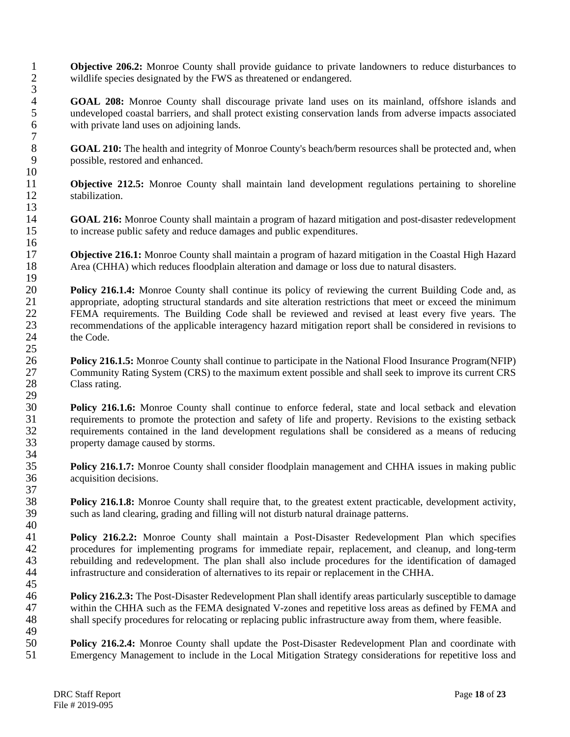1 **Objective 206.2:** Monroe County shall provide guidance to private landowners to reduce disturbances to wildlife species designated by the FWS as threatened or endangered. wildlife species designated by the FWS as threatened or endangered.

4 **GOAL 208:** Monroe County shall discourage private land uses on its mainland, offshore islands and undeveloped coastal barriers, and shall protect existing conservation lands from adverse impacts associated 5 undeveloped coastal barriers, and shall protect existing conservation lands from adverse impacts associated<br>6 with private land uses on adioining lands. with private land uses on adjoining lands.

8 **GOAL 210:** The health and integrity of Monroe County's beach/berm resources shall be protected and, when possible, restored and enhanced. possible, restored and enhanced.

11 **Objective 212.5:** Monroe County shall maintain land development regulations pertaining to shoreline stabilization. stabilization.

14 **GOAL 216:** Monroe County shall maintain a program of hazard mitigation and post-disaster redevelopment to increase public safety and reduce damages and public expenditures. to increase public safety and reduce damages and public expenditures.

17 **Objective 216.1:** Monroe County shall maintain a program of hazard mitigation in the Coastal High Hazard Area (CHHA) which reduces floodplain alteration and damage or loss due to natural disasters. Area (CHHA) which reduces floodplain alteration and damage or loss due to natural disasters.

 $\frac{19}{20}$ 20 **Policy 216.1.4:** Monroe County shall continue its policy of reviewing the current Building Code and, as appropriate, adopting structural standards and site alteration restrictions that meet or exceed the minimum 21 appropriate, adopting structural standards and site alteration restrictions that meet or exceed the minimum<br>22 FEMA requirements. The Building Code shall be reviewed and revised at least every five vears. The 22 FEMA requirements. The Building Code shall be reviewed and revised at least every five years. The recommendations of the applicable interagency hazard mitigation report shall be considered in revisions to 23 recommendations of the applicable interagency hazard mitigation report shall be considered in revisions to 24 the Code.

 $\frac{25}{26}$ 26 **Policy 216.1.5:** Monroe County shall continue to participate in the National Flood Insurance Program(NFIP)<br>27 Community Rating System (CRS) to the maximum extent possible and shall seek to improve its current CRS 27 Community Rating System (CRS) to the maximum extent possible and shall seek to improve its current CRS<br>28 Class rating. Class rating.

29<br>30 **Policy 216.1.6:** Monroe County shall continue to enforce federal, state and local setback and elevation 31 requirements to promote the protection and safety of life and property. Revisions to the existing setback<br>32 requirements contained in the land development regulations shall be considered as a means of reducing 32 requirements contained in the land development regulations shall be considered as a means of reducing property damage caused by storms. property damage caused by storms.

**Policy 216.1.7:** Monroe County shall consider floodplain management and CHHA issues in making public acquisition decisions. acquisition decisions.

**Policy 216.1.8:** Monroe County shall require that, to the greatest extent practicable, development activity, such as land clearing, grading and filling will not disturb natural drainage patterns. such as land clearing, grading and filling will not disturb natural drainage patterns.

 $\begin{array}{c} 40 \\ 41 \end{array}$ 41 **Policy 216.2.2:** Monroe County shall maintain a Post-Disaster Redevelopment Plan which specifies procedures for implementing programs for immediate repair, replacement, and cleanup, and long-term 42 procedures for implementing programs for immediate repair, replacement, and cleanup, and long-term<br>43 rebuilding and redevelopment. The plan shall also include procedures for the identification of damaged 43 rebuilding and redevelopment. The plan shall also include procedures for the identification of damaged<br>44 infrastructure and consideration of alternatives to its repair or replacement in the CHHA. infrastructure and consideration of alternatives to its repair or replacement in the CHHA. 45

46 **Policy 216.2.3:** The Post-Disaster Redevelopment Plan shall identify areas particularly susceptible to damage 47 within the CHHA such as the FEMA designated V-zones and repetitive loss areas as defined by FEMA and shall specify procedures for relocating or replacing public infrastructure away from them, where feasible. shall specify procedures for relocating or replacing public infrastructure away from them, where feasible.

49<br>50 50 **Policy 216.2.4:** Monroe County shall update the Post-Disaster Redevelopment Plan and coordinate with<br>51 Emergency Management to include in the Local Mitigation Strategy considerations for repetitive loss and Emergency Management to include in the Local Mitigation Strategy considerations for repetitive loss and

3

 $\begin{array}{c} 7 \\ 8 \end{array}$ 

 $\begin{array}{c} 10 \\ 11 \end{array}$ 

13

16

34<br>35

 $\frac{37}{38}$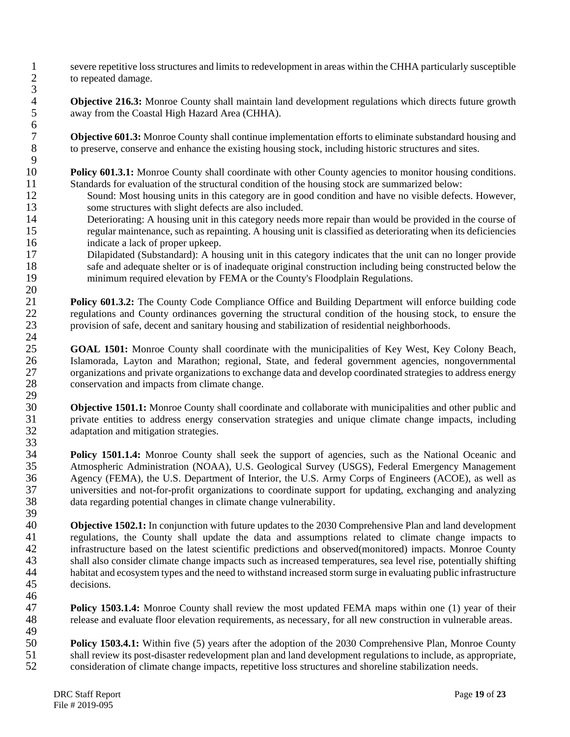1 severe repetitive loss structures and limits to redevelopment in areas within the CHHA particularly susceptible<br>2 to repeated damage. to repeated damage.

4 **Objective 216.3:** Monroe County shall maintain land development regulations which directs future growth away from the Coastal High Hazard Area (CHHA). away from the Coastal High Hazard Area (CHHA).

**Objective 601.3:** Monroe County shall continue implementation efforts to eliminate substandard housing and to preserve, conserve and enhance the existing housing stock, including historic structures and sites. to preserve, conserve and enhance the existing housing stock, including historic structures and sites.

 $\frac{9}{10}$ 10 **Policy 601.3.1:** Monroe County shall coordinate with other County agencies to monitor housing conditions.<br>11 Standards for evaluation of the structural condition of the housing stock are summarized below: 11 Standards for evaluation of the structural condition of the housing stock are summarized below:<br>12 Sound: Most housing units in this category are in good condition and have no visible defec

- 12 Sound: Most housing units in this category are in good condition and have no visible defects. However,<br>13 some structures with slight defects are also included. some structures with slight defects are also included.
- 14 Deteriorating: A housing unit in this category needs more repair than would be provided in the course of regular maintenance, such as repainting. A housing unit is classified as deteriorating when its deficiencies 15 regular maintenance, such as repainting. A housing unit is classified as deteriorating when its deficiencies 16 indicate a lack of proper upkeep.
- 17 Dilapidated (Substandard): A housing unit in this category indicates that the unit can no longer provide<br>18 safe and adequate shelter or is of inadequate original construction including being constructed below the safe and adequate shelter or is of inadequate original construction including being constructed below the 19 minimum required elevation by FEMA or the County's Floodplain Regulations.  $\frac{20}{21}$

21 **Policy 601.3.2:** The County Code Compliance Office and Building Department will enforce building code regulations and County ordinances governing the structural condition of the housing stock, to ensure the 22 regulations and County ordinances governing the structural condition of the housing stock, to ensure the provision of safe, decent and sanitary housing and stabilization of residential neighborhoods. provision of safe, decent and sanitary housing and stabilization of residential neighborhoods.

 $\frac{24}{25}$ 25 **GOAL 1501:** Monroe County shall coordinate with the municipalities of Key West, Key Colony Beach, Islamorada, Layton and Marathon; regional, State, and federal government agencies, nongovernmental 26 Islamorada, Layton and Marathon; regional, State, and federal government agencies, nongovernmental<br>27 organizations and private organizations to exchange data and develop coordinated strategies to address energy 27 organizations and private organizations to exchange data and develop coordinated strategies to address energy<br>28 conservation and impacts from climate change. conservation and impacts from climate change.

29<br>30 **Objective 1501.1:** Monroe County shall coordinate and collaborate with municipalities and other public and 31 private entities to address energy conservation strategies and unique climate change impacts, including adaptation and mitigation strategies. adaptation and mitigation strategies. 33

**Policy 1501.1.4:** Monroe County shall seek the support of agencies, such as the National Oceanic and Atmospheric Administration (NOAA), U.S. Geological Survey (USGS), Federal Emergency Management 35 Atmospheric Administration (NOAA), U.S. Geological Survey (USGS), Federal Emergency Management<br>36 Agency (FEMA), the U.S. Department of Interior, the U.S. Army Corps of Engineers (ACOE), as well as Agency (FEMA), the U.S. Department of Interior, the U.S. Army Corps of Engineers (ACOE), as well as 37 universities and not-for-profit organizations to coordinate support for updating, exchanging and analyzing data regarding potential changes in climate change vulnerability. data regarding potential changes in climate change vulnerability.

39 40 **Objective 1502.1:** In conjunction with future updates to the 2030 Comprehensive Plan and land development regulations, the County shall update the data and assumptions related to climate change impacts to 41 regulations, the County shall update the data and assumptions related to climate change impacts to infrastructure based on the latest scientific predictions and observed (monitored) impacts. Monroe County 42 infrastructure based on the latest scientific predictions and observed(monitored) impacts. Monroe County<br>43 shall also consider climate change impacts such as increased temperatures, sea level rise, potentially shifting 43 shall also consider climate change impacts such as increased temperatures, sea level rise, potentially shifting<br>44 habitat and ecosystem types and the need to withstand increased storm surge in evaluating public infrast 44 habitat and ecosystem types and the need to withstand increased storm surge in evaluating public infrastructure decisions. 46

47 **Policy 1503.1.4:** Monroe County shall review the most updated FEMA maps within one (1) year of their 48 release and evaluate floor elevation requirements, as necessary, for all new construction in vulnerable areas.

49<br>50 **50 Policy 1503.4.1:** Within five (5) years after the adoption of the 2030 Comprehensive Plan, Monroe County shall review its post-disaster redevelopment plan and land development regulations to include, as appropriate. 51 shall review its post-disaster redevelopment plan and land development regulations to include, as appropriate,<br>52 consideration of climate change impacts, repetitive loss structures and shoreline stabilization needs. consideration of climate change impacts, repetitive loss structures and shoreline stabilization needs.

3

 $\frac{6}{7}$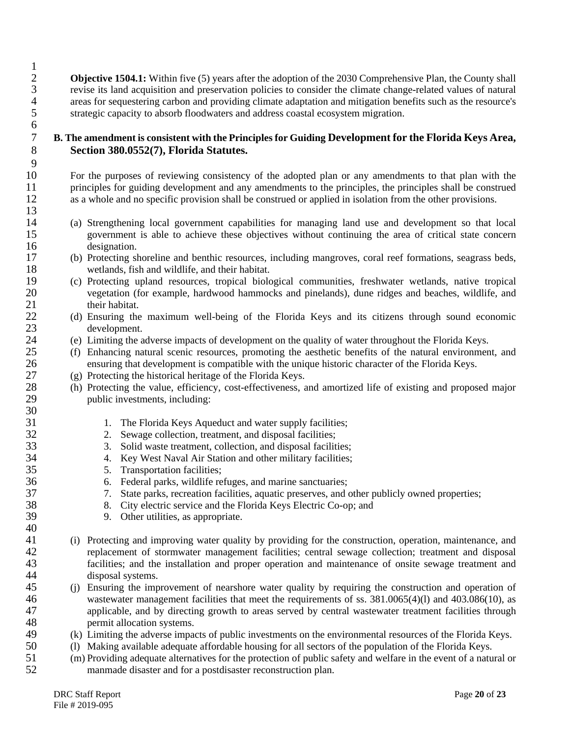**Objective 1504.1:** Within five (5) years after the adoption of the 2030 Comprehensive Plan, the County shall 3 revise its land acquisition and preservation policies to consider the climate change-related values of natural 4 areas for sequestering carbon and providing climate adaptation and mitigation benefits such as the resource's<br>5 strategic capacity to absorb floodwaters and address coastal ecosystem migration. 5 strategic capacity to absorb floodwaters and address coastal ecosystem migration.

#### 7 **B. The amendment is consistent with the Principles for Guiding Development for the Florida Keys Area,**  8 **Section 380.0552(7), Florida Statutes.**

10 For the purposes of reviewing consistency of the adopted plan or any amendments to that plan with the 11 principles for guiding development and any amendments to the principles, the principles shall be construed 12 as a whole and no specific provision shall be construed or applied in isolation from the other provisions.

- 14 (a) Strengthening local government capabilities for managing land use and development so that local 15 government is able to achieve these objectives without continuing the area of critical state concern 16 designation.<br>17 (b) Protecting sl
- 17 (b) Protecting shoreline and benthic resources, including mangroves, coral reef formations, seagrass beds, wetlands, fish and wildlife, and their habitat. 18 wetlands, fish and wildlife, and their habitat.<br>19 (c) Protecting upland resources, tropical biology
- 19 (c) Protecting upland resources, tropical biological communities, freshwater wetlands, native tropical 20 vegetation (for example, hardwood hammocks and pinelands), dune ridges and beaches, wildlife, and 21 their habitat.
- 22 (d) Ensuring the maximum well-being of the Florida Keys and its citizens through sound economic development. 23 development.<br>24 (e) Limiting the a
- 24 (e) Limiting the adverse impacts of development on the quality of water throughout the Florida Keys.<br>25 (f) Enhancing natural scenic resources, promoting the aesthetic benefits of the natural environment
- 25 (f) Enhancing natural scenic resources, promoting the aesthetic benefits of the natural environment, and ensuring that development is compatible with the unique historic character of the Florida Kevs. 26 ensuring that development is compatible with the unique historic character of the Florida Keys.<br>27 (g) Protecting the historical heritage of the Florida Keys.
	- $(g)$  Protecting the historical heritage of the Florida Keys.
- 28 (h) Protecting the value, efficiency, cost-effectiveness, and amortized life of existing and proposed major public investments, including: public investments, including:
- 31 1. The Florida Keys Aqueduct and water supply facilities;
- 32 2. Sewage collection, treatment, and disposal facilities;<br>33 3. Solid waste treatment, collection, and disposal facilit
	- 33 3. Solid waste treatment, collection, and disposal facilities;
- 34 4. Key West Naval Air Station and other military facilities;
- 35 5. Transportation facilities;<br>36 6. Federal parks, wildlife re
- 36 6. Federal parks, wildlife refuges, and marine sanctuaries;<br>37 3. State parks, recreation facilities, aquatic preserves, and of
	- 37 7. State parks, recreation facilities, aquatic preserves, and other publicly owned properties;
- 38 8. City electric service and the Florida Keys Electric Co-op; and 39 9. Other utilities, as appropriate.
	- 9. Other utilities, as appropriate.
- 41 (i) Protecting and improving water quality by providing for the construction, operation, maintenance, and 42 replacement of stormwater management facilities; central sewage collection; treatment and disposal 43 facilities; and the installation and proper operation and maintenance of onsite sewage treatment and 44 disposal systems.
- 45 (j) Ensuring the improvement of nearshore water quality by requiring the construction and operation of 46 wastewater management facilities that meet the requirements of ss. 381.0065(4)(1) and 403.086(10), as<br>47 applicable, and by directing growth to areas served by central wastewater treatment facilities through 47 applicable, and by directing growth to areas served by central wastewater treatment facilities through permit allocation systems. 48 permit allocation systems.<br>49 (k) Limiting the adverse impact
- 49 (k) Limiting the adverse impacts of public investments on the environmental resources of the Florida Keys.<br>50 (l) Making available adequate affordable housing for all sectors of the population of the Florida Keys.
- 50 (l) Making available adequate affordable housing for all sectors of the population of the Florida Keys.<br>51 (m) Providing adequate alternatives for the protection of public safety and welfare in the event of a natu
- 51 (m) Providing adequate alternatives for the protection of public safety and welfare in the event of a natural or 52 manmade disaster and for a postdisaster reconstruction plan.

 $\frac{1}{2}$ 

 $\frac{6}{7}$ 

 $\frac{9}{10}$ 

13

30

 $\frac{40}{41}$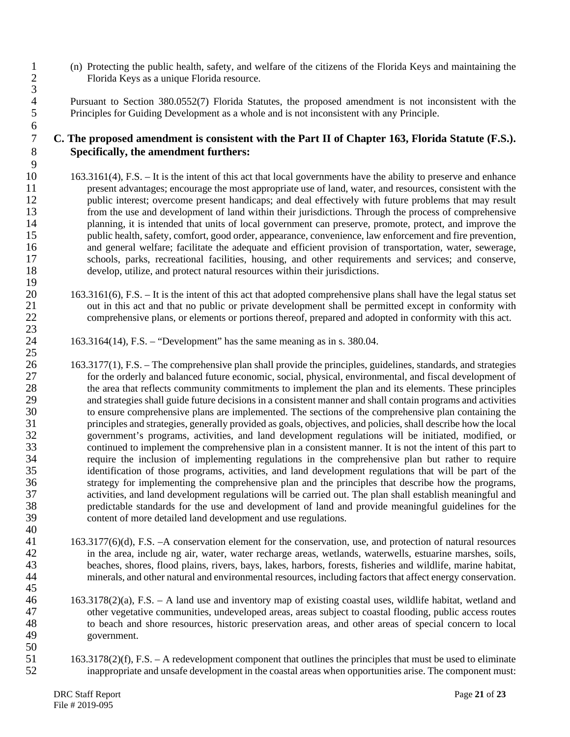- 1 (n) Protecting the public health, safety, and welfare of the citizens of the Florida Keys and maintaining the 2 Florida Keys as a unique Florida resource.
- 4 Pursuant to Section 380.0552(7) Florida Statutes, the proposed amendment is not inconsistent with the<br>5 Principles for Guiding Development as a whole and is not inconsistent with any Principle. 5 Principles for Guiding Development as a whole and is not inconsistent with any Principle.

#### 7 **C. The proposed amendment is consistent with the Part II of Chapter 163, Florida Statute (F.S.).**  8 **Specifically, the amendment furthers:**

- 10 163.3161(4), F.S. It is the intent of this act that local governments have the ability to preserve and enhance 11 present advantages; encourage the most appropriate use of land, water, and resources, consistent with the public interest; overcome present handicaps; and deal effectively with future problems that may result 12 public interest; overcome present handicaps; and deal effectively with future problems that may result from the use and development of land within their iurisdictions. Through the process of comprehensive 13 from the use and development of land within their jurisdictions. Through the process of comprehensive planning, it is intended that units of local government can preserve, promote, protect, and improve the 14 planning, it is intended that units of local government can preserve, promote, protect, and improve the public health, safety, comfort, good order, appearance, convenience, law enforcement and fire prevention, public health, safety, comfort, good order, appearance, convenience, law enforcement and fire prevention, 16 and general welfare; facilitate the adequate and efficient provision of transportation, water, sewerage, 17 schools, parks, recreational facilities, housing, and other requirements and services; and conserve, 18 develop, utilize, and protect natural resources within their jurisdictions.
- 20 163.3161(6), F.S. It is the intent of this act that adopted comprehensive plans shall have the legal status set 21 out in this act and that no public or private development shall be permitted except in conformity with<br>22 comprehensive plans, or elements or portions thereof, prepared and adopted in conformity with this act. comprehensive plans, or elements or portions thereof, prepared and adopted in conformity with this act.
- 24 163.3164(14), F.S. "Development" has the same meaning as in s. 380.04.
- 26 163.3177(1), F.S. The comprehensive plan shall provide the principles, guidelines, standards, and strategies 27 for the orderly and balanced future economic, social, physical, environmental, and fiscal development of 28 the area that reflects community commitments to implement the plan and its elements. These principles<br>29 and strategies shall guide future decisions in a consistent manner and shall contain programs and activities 29 and strategies shall guide future decisions in a consistent manner and shall contain programs and activities<br>30 to ensure comprehensive plans are implemented. The sections of the comprehensive plan containing the to ensure comprehensive plans are implemented. The sections of the comprehensive plan containing the 31 principles and strategies, generally provided as goals, objectives, and policies, shall describe how the local government's programs, activities, and land development regulations will be initiated, modified, or 32 government's programs, activities, and land development regulations will be initiated, modified, or continued to implement the comprehensive plan in a consistent manner. It is not the intent of this part to 33 continued to implement the comprehensive plan in a consistent manner. It is not the intent of this part to 34 require the inclusion of implementing regulations in the comprehensive plan but rather to require<br>35 identification of those programs, activities, and land development regulations that will be part of the 35 identification of those programs, activities, and land development regulations that will be part of the strategy for implementing the comprehensive plan and the principles that describe how the programs. 36 strategy for implementing the comprehensive plan and the principles that describe how the programs,<br>37 activities, and land development regulations will be carried out. The plan shall establish meaningful and 37 activities, and land development regulations will be carried out. The plan shall establish meaningful and predictable standards for the use and development of land and provide meaningful guidelines for the 38 predictable standards for the use and development of land and provide meaningful guidelines for the content of more detailed land development and use regulations. 39 content of more detailed land development and use regulations. 40
- 41 163.3177(6)(d), F.S. –A conservation element for the conservation, use, and protection of natural resources<br>42 in the area, include ng air, water, water recharge areas, wetlands, waterwells, estuarine marshes, soils, 42 in the area, include ng air, water, water recharge areas, wetlands, waterwells, estuarine marshes, soils, beaches, shores, flood plains, rivers, bays, lakes, harbors, forests, fisheries and wildlife, marine habitat, 43 beaches, shores, flood plains, rivers, bays, lakes, harbors, forests, fisheries and wildlife, marine habitat, minerals, and other natural and environmental resources, including factors that affect energy conservation. minerals, and other natural and environmental resources, including factors that affect energy conservation.
- 46 163.3178(2)(a), F.S. A land use and inventory map of existing coastal uses, wildlife habitat, wetland and 47 other vegetative communities, undeveloped areas, areas subject to coastal flooding, public access routes 48 to beach and shore resources, historic preservation areas, and other areas of special concern to local 49 government.
- $\frac{50}{51}$ 51 163.3178(2)(f), F.S. – A redevelopment component that outlines the principles that must be used to eliminate<br>52 inappropriate and unsafe development in the coastal areas when opportunities arise. The component must: inappropriate and unsafe development in the coastal areas when opportunities arise. The component must:

3

 $\frac{6}{7}$ 

 $\frac{9}{10}$ 

 $\frac{19}{20}$ 

23

25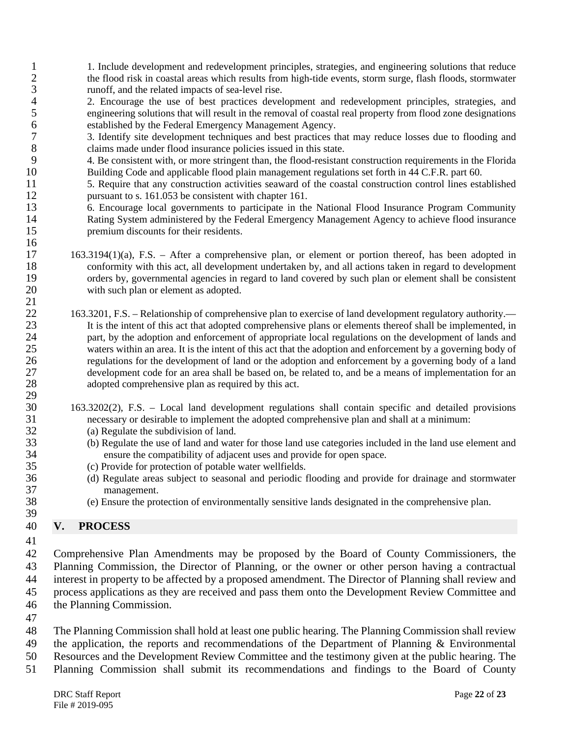- 1. Include development and redevelopment principles, strategies, and engineering solutions that reduce<br>
2. The flood risk in coastal areas which results from high-tide events, storm surge, flash floods, stormwater 2 the flood risk in coastal areas which results from high-tide events, storm surge, flash floods, stormwater 3 runoff, and the related impacts of sea-level rise.
- 4 2. Encourage the use of best practices development and redevelopment principles, strategies, and engineering solutions that will result in the removal of coastal real property from flood zone designations 5 engineering solutions that will result in the removal of coastal real property from flood zone designations<br>6 established by the Federal Emergency Management Agency. 6 established by the Federal Emergency Management Agency.<br>
3. Identify site development techniques and best practices the
- 7 3. Identify site development techniques and best practices that may reduce losses due to flooding and claims made under flood insurance policies issued in this state.
- 9 4. Be consistent with, or more stringent than, the flood-resistant construction requirements in the Florida 10 Building Code and applicable flood plain management regulations set forth in 44 C.F.R. part 60.
- 11 5. Require that any construction activities seaward of the coastal construction control lines established 12 pursuant to s. 161.053 be consistent with chapter 161.<br>13 6. Encourage local governments to participate in the
- 13 6. Encourage local governments to participate in the National Flood Insurance Program Community 14 Rating System administered by the Federal Emergency Management Agency to achieve flood insurance<br>15 memium discounts for their residents. premium discounts for their residents.
- 17 163.3194(1)(a), F.S. After a comprehensive plan, or element or portion thereof, has been adopted in conformity with this act, all development undertaken by, and all actions taken in regard to development conformity with this act, all development undertaken by, and all actions taken in regard to development 19 orders by, governmental agencies in regard to land covered by such plan or element shall be consistent 20 with such plan or element as adopted. with such plan or element as adopted.
- $\frac{21}{22}$ 22 163.3201, F.S. – Relationship of comprehensive plan to exercise of land development regulatory authority.— 23 It is the intent of this act that adopted comprehensive plans or elements thereof shall be implemented, in 24 part, by the adoption and enforcement of appropriate local regulations on the development of lands and<br>25 values within an area. It is the intent of this act that the adoption and enforcement by a governing body of waters within an area. It is the intent of this act that the adoption and enforcement by a governing body of 26 regulations for the development of land or the adoption and enforcement by a governing body of a land 27 development code for an area shall be based on, be related to, and be a means of implementation for an adopted comprehensive plan as required by this act. adopted comprehensive plan as required by this act. 29<br>30
- 30 163.3202(2), F.S. Local land development regulations shall contain specific and detailed provisions 31 necessary or desirable to implement the adopted comprehensive plan and shall at a minimum:<br>32 (a) Regulate the subdivision of land.
	- (a) Regulate the subdivision of land.
- 33 (b) Regulate the use of land and water for those land use categories included in the land use element and 34 ensure the compatibility of adjacent uses and provide for open space.<br>35 (c) Provide for protection of potable water wellfields.
- 35 (c) Provide for protection of potable water wellfields.<br>36 (d) Regulate areas subject to seasonal and periodic f
- 36 (d) Regulate areas subject to seasonal and periodic flooding and provide for drainage and stormwater 37 management.
- 38 (e) Ensure the protection of environmentally sensitive lands designated in the comprehensive plan.

### 40 **V. PROCESS**

41

39

16

 Comprehensive Plan Amendments may be proposed by the Board of County Commissioners, the Planning Commission, the Director of Planning, or the owner or other person having a contractual interest in property to be affected by a proposed amendment. The Director of Planning shall review and process applications as they are received and pass them onto the Development Review Committee and the Planning Commission.

47

 The Planning Commission shall hold at least one public hearing. The Planning Commission shall review the application, the reports and recommendations of the Department of Planning & Environmental Resources and the Development Review Committee and the testimony given at the public hearing. The Planning Commission shall submit its recommendations and findings to the Board of County